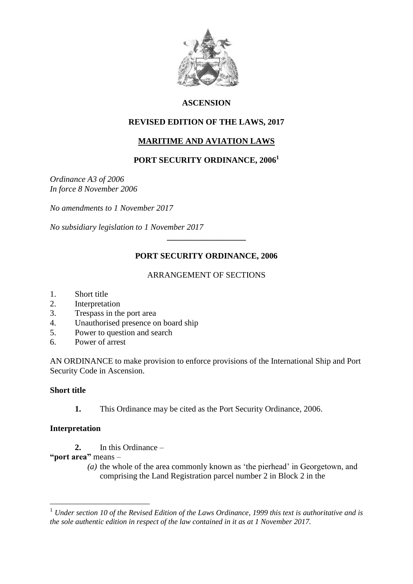

## **ASCENSION**

## **REVISED EDITION OF THE LAWS, 2017**

# **MARITIME AND AVIATION LAWS**

# **PORT SECURITY ORDINANCE, 2006<sup>1</sup>**

*Ordinance A3 of 2006 In force 8 November 2006*

*No amendments to 1 November 2017*

*No subsidiary legislation to 1 November 2017*

# **PORT SECURITY ORDINANCE, 2006**

**\_\_\_\_\_\_\_\_\_\_\_\_\_\_\_\_\_\_\_**

## ARRANGEMENT OF SECTIONS

- 1. Short title
- 2. Interpretation
- 3. Trespass in the port area
- 4. Unauthorised presence on board ship
- 5. Power to question and search
- 6. Power of arrest

AN ORDINANCE to make provision to enforce provisions of the International Ship and Port Security Code in Ascension.

#### **Short title**

1

**1.** This Ordinance may be cited as the Port Security Ordinance, 2006.

## **Interpretation**

- **2.** In this Ordinance –
- **"port area"** means
	- *(a)* the whole of the area commonly known as 'the pierhead' in Georgetown, and comprising the Land Registration parcel number 2 in Block 2 in the

<sup>1</sup> *Under section 10 of the Revised Edition of the Laws Ordinance, 1999 this text is authoritative and is the sole authentic edition in respect of the law contained in it as at 1 November 2017.*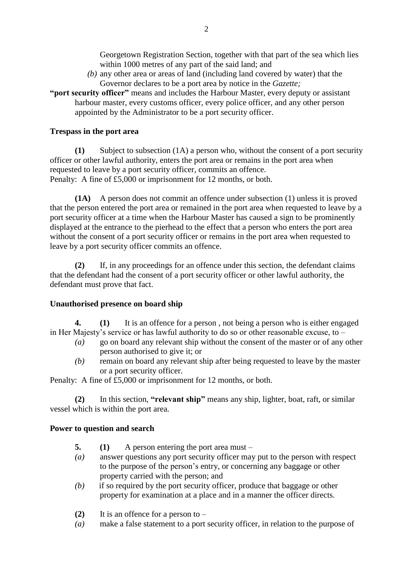Georgetown Registration Section, together with that part of the sea which lies within 1000 metres of any part of the said land; and

*(b)* any other area or areas of land (including land covered by water) that the Governor declares to be a port area by notice in the *Gazette;*

**"port security officer"** means and includes the Harbour Master, every deputy or assistant harbour master, every customs officer, every police officer, and any other person appointed by the Administrator to be a port security officer.

#### **Trespass in the port area**

**(1)** Subject to subsection (1A) a person who, without the consent of a port security officer or other lawful authority, enters the port area or remains in the port area when requested to leave by a port security officer, commits an offence. Penalty: A fine of £5,000 or imprisonment for 12 months, or both.

**(1A)** A person does not commit an offence under subsection (1) unless it is proved that the person entered the port area or remained in the port area when requested to leave by a port security officer at a time when the Harbour Master has caused a sign to be prominently displayed at the entrance to the pierhead to the effect that a person who enters the port area without the consent of a port security officer or remains in the port area when requested to leave by a port security officer commits an offence.

**(2)** If, in any proceedings for an offence under this section, the defendant claims that the defendant had the consent of a port security officer or other lawful authority, the defendant must prove that fact.

## **Unauthorised presence on board ship**

**4. (1)** It is an offence for a person , not being a person who is either engaged in Her Majesty's service or has lawful authority to do so or other reasonable excuse, to –

- *(a)* go on board any relevant ship without the consent of the master or of any other person authorised to give it; or
- *(b)* remain on board any relevant ship after being requested to leave by the master or a port security officer.

Penalty: A fine of £5,000 or imprisonment for 12 months, or both.

**(2)** In this section, **"relevant ship"** means any ship, lighter, boat, raft, or similar vessel which is within the port area.

#### **Power to question and search**

- **5. (1)** A person entering the port area must –
- *(a)* answer questions any port security officer may put to the person with respect to the purpose of the person's entry, or concerning any baggage or other property carried with the person; and
- *(b)* if so required by the port security officer, produce that baggage or other property for examination at a place and in a manner the officer directs.
- **(2)** It is an offence for a person to –
- *(a)* make a false statement to a port security officer, in relation to the purpose of